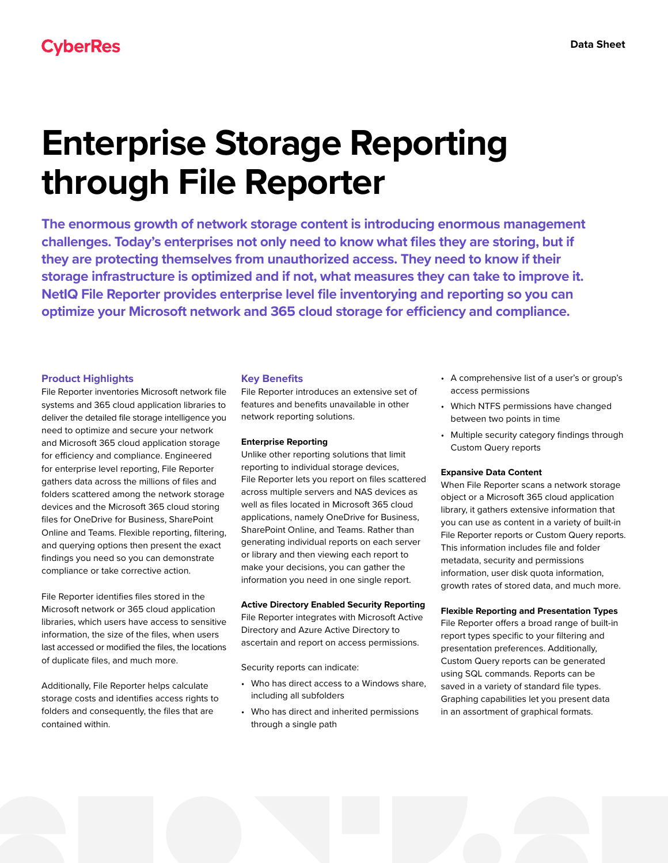# **Enterprise Storage Reporting through File Reporter**

**The enormous growth of network storage content is introducing enormous management challenges. Today's enterprises not only need to know what files they are storing, but if they are protecting themselves from unauthorized access. They need to know if their storage infrastructure is optimized and if not, what measures they can take to improve it. NetIQ File Reporter provides enterprise level file inventorying and reporting so you can optimize your Microsoft network and 365 cloud storage for efficiency and compliance.**

# **Product Highlights**

File Reporter inventories Microsoft network file systems and 365 cloud application libraries to deliver the detailed file storage intelligence you need to optimize and secure your network and Microsoft 365 cloud application storage for efficiency and compliance. Engineered for enterprise level reporting, File Reporter gathers data across the millions of files and folders scattered among the network storage devices and the Microsoft 365 cloud storing files for OneDrive for Business, SharePoint Online and Teams. Flexible reporting, filtering, and querying options then present the exact findings you need so you can demonstrate compliance or take corrective action.

File Reporter identifies files stored in the Microsoft network or 365 cloud application libraries, which users have access to sensitive information, the size of the files, when users last accessed or modified the files, the locations of duplicate files, and much more.

Additionally, File Reporter helps calculate storage costs and identifies access rights to folders and consequently, the files that are contained within.

#### **Key Benefits**

File Reporter introduces an extensive set of features and benefits unavailable in other network reporting solutions.

#### **Enterprise Reporting**

Unlike other reporting solutions that limit reporting to individual storage devices, File Reporter lets you report on files scattered across multiple servers and NAS devices as well as files located in Microsoft 365 cloud applications, namely OneDrive for Business, SharePoint Online, and Teams. Rather than generating individual reports on each server or library and then viewing each report to make your decisions, you can gather the information you need in one single report.

#### **Active Directory Enabled Security Reporting**

File Reporter integrates with Microsoft Active Directory and Azure Active Directory to ascertain and report on access permissions.

Security reports can indicate:

- Who has direct access to a Windows share, including all subfolders
- Who has direct and inherited permissions through a single path
- A comprehensive list of a user's or group's access permissions
- Which NTFS permissions have changed between two points in time
- Multiple security category findings through Custom Query reports

#### **Expansive Data Content**

When File Reporter scans a network storage object or a Microsoft 365 cloud application library, it gathers extensive information that you can use as content in a variety of built-in File Reporter reports or Custom Query reports. This information includes file and folder metadata, security and permissions information, user disk quota information, growth rates of stored data, and much more.

#### **Flexible Reporting and Presentation Types**

File Reporter offers a broad range of built-in report types specific to your filtering and presentation preferences. Additionally, Custom Query reports can be generated using SQL commands. Reports can be saved in a variety of standard file types. Graphing capabilities let you present data in an assortment of graphical formats.